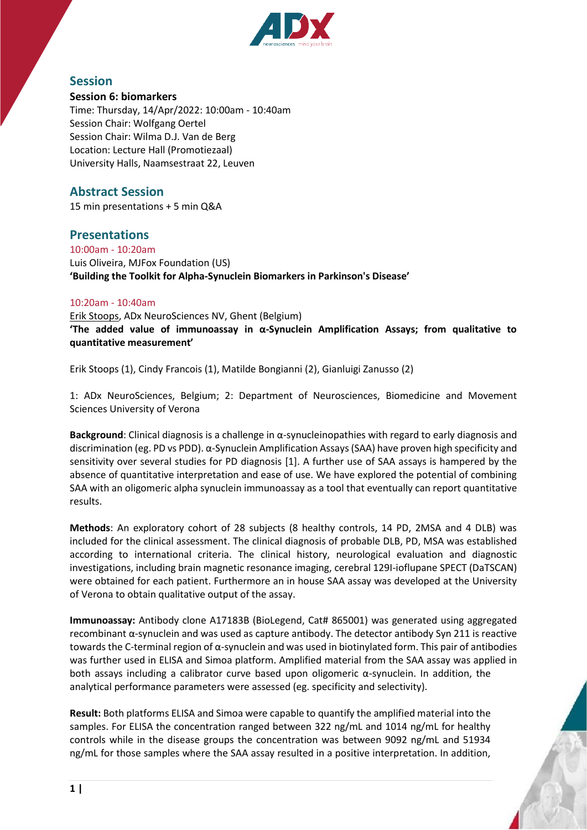

## **Session**

### **Session 6: biomarkers**

Time: Thursday, 14/Apr/2022: 10:00am - 10:40am Session Chair: Wolfgang Oertel Session Chair: Wilma D.J. Van de Berg Location: Lecture Hall (Promotiezaal) University Halls, Naamsestraat 22, Leuven

## **Abstract Session**

15 min presentations + 5 min Q&A

# **Presentations**

10:00am - 10:20am Luis Oliveira, MJFox Foundation (US) **'Building the Toolkit for Alpha-Synuclein Biomarkers in Parkinson's Disease'**

### 10:20am - 10:40am

Erik Stoops, ADx NeuroSciences NV, Ghent (Belgium) **'The added value of immunoassay in α-Synuclein Amplification Assays; from qualitative to quantitative measurement'**

Erik Stoops (1), Cindy Francois (1), Matilde Bongianni (2), Gianluigi Zanusso (2)

1: ADx NeuroSciences, Belgium; 2: Department of Neurosciences, Biomedicine and Movement Sciences University of Verona

**Background**: Clinical diagnosis is a challenge in α-synucleinopathies with regard to early diagnosis and discrimination (eg. PD vs PDD). α-Synuclein Amplification Assays (SAA) have proven high specificity and sensitivity over several studies for PD diagnosis [1]. A further use of SAA assays is hampered by the absence of quantitative interpretation and ease of use. We have explored the potential of combining SAA with an oligomeric alpha synuclein immunoassay as a tool that eventually can report quantitative results.

**Methods**: An exploratory cohort of 28 subjects (8 healthy controls, 14 PD, 2MSA and 4 DLB) was included for the clinical assessment. The clinical diagnosis of probable DLB, PD, MSA was established according to international criteria. The clinical history, neurological evaluation and diagnostic investigations, including brain magnetic resonance imaging, cerebral 129I-ioflupane SPECT (DaTSCAN) were obtained for each patient. Furthermore an in house SAA assay was developed at the University of Verona to obtain qualitative output of the assay.

**Immunoassay:** Antibody clone A17183B (BioLegend, Cat# 865001) was generated using aggregated recombinant α-synuclein and was used as capture antibody. The detector antibody Syn 211 is reactive towards the C-terminal region of α-synuclein and was used in biotinylated form. This pair of antibodies was further used in ELISA and Simoa platform. Amplified material from the SAA assay was applied in both assays including a calibrator curve based upon oligomeric  $\alpha$ -synuclein. In addition, the analytical performance parameters were assessed (eg. specificity and selectivity).

**Result:** Both platforms ELISA and Simoa were capable to quantify the amplified material into the samples. For ELISA the concentration ranged between 322 ng/mL and 1014 ng/mL for healthy controls while in the disease groups the concentration was between 9092 ng/mL and 51934 ng/mL for those samples where the SAA assay resulted in a positive interpretation. In addition,